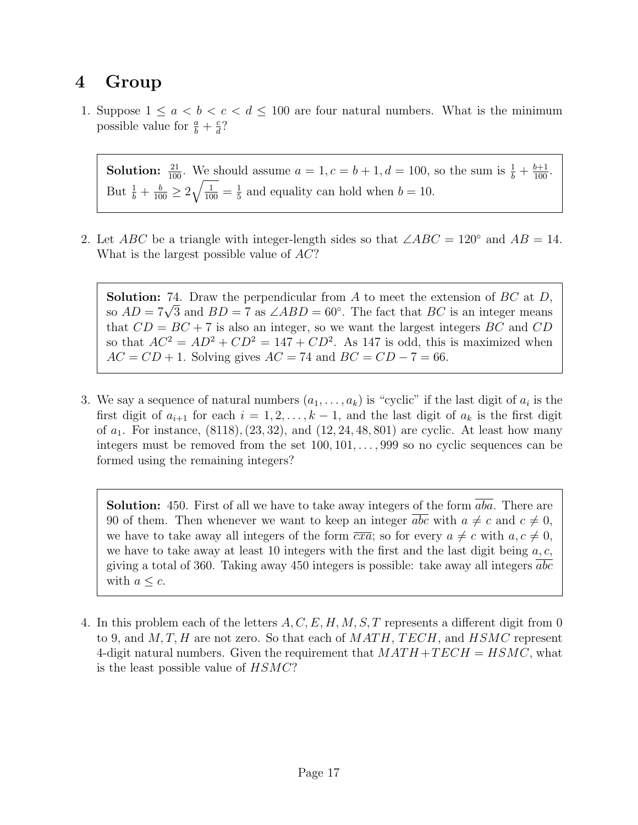## 4 Group

1. Suppose  $1 \le a < b < c < d \le 100$  are four natural numbers. What is the minimum possible value for  $\frac{a}{b} + \frac{c}{d}$  $\frac{c}{d}$ ?

**Solution:**  $\frac{21}{100}$ . We should assume  $a = 1, c = b + 1, d = 100$ , so the sum is  $\frac{1}{b} + \frac{b+1}{100}$ . But  $\frac{1}{b} + \frac{b}{100} \ge 2\sqrt{\frac{1}{100}} = \frac{1}{5}$  $\frac{1}{5}$  and equality can hold when  $b = 10$ .

2. Let ABC be a triangle with integer-length sides so that  $\angle ABC = 120^\circ$  and  $AB = 14$ . What is the largest possible value of  $AC$ ?

**Solution:** 74. Draw the perpendicular from  $A$  to meet the extension of  $BC$  at  $D$ , **Solution:** (4. Draw the perpendicular from A to meet the extension of *BC* at *D*, so  $AD = 7\sqrt{3}$  and  $BD = 7$  as  $\angle ABD = 60^{\circ}$ . The fact that *BC* is an integer means that  $CD = BC + 7$  is also an integer, so we want the largest integers BC and CD so that  $AC^2 = AD^2 + CD^2 = 147 + CD^2$ . As 147 is odd, this is maximized when  $AC = CD + 1$ . Solving gives  $AC = 74$  and  $BC = CD - 7 = 66$ .

3. We say a sequence of natural numbers  $(a_1, \ldots, a_k)$  is "cyclic" if the last digit of  $a_i$  is the first digit of  $a_{i+1}$  for each  $i = 1, 2, ..., k-1$ , and the last digit of  $a_k$  is the first digit of  $a_1$ . For instance,  $(8118), (23, 32),$  and  $(12, 24, 48, 801)$  are cyclic. At least how many integers must be removed from the set 100, 101, . . . , 999 so no cyclic sequences can be formed using the remaining integers?

**Solution:** 450. First of all we have to take away integers of the form  $\overline{aba}$ . There are 90 of them. Then whenever we want to keep an integer abc with  $a \neq c$  and  $c \neq 0$ , we have to take away all integers of the form  $\overline{cxa}$ ; so for every  $a \neq c$  with  $a, c \neq 0$ , we have to take away at least 10 integers with the first and the last digit being  $a, c$ , giving a total of 360. Taking away 450 integers is possible: take away all integers abc with  $a \leq c$ .

4. In this problem each of the letters  $A, C, E, H, M, S, T$  represents a different digit from 0 to 9, and  $M, T, H$  are not zero. So that each of  $MATH, TECH$ , and  $HSMC$  represent 4-digit natural numbers. Given the requirement that  $MATH + TECH = HSMC$ , what is the least possible value of HSMC?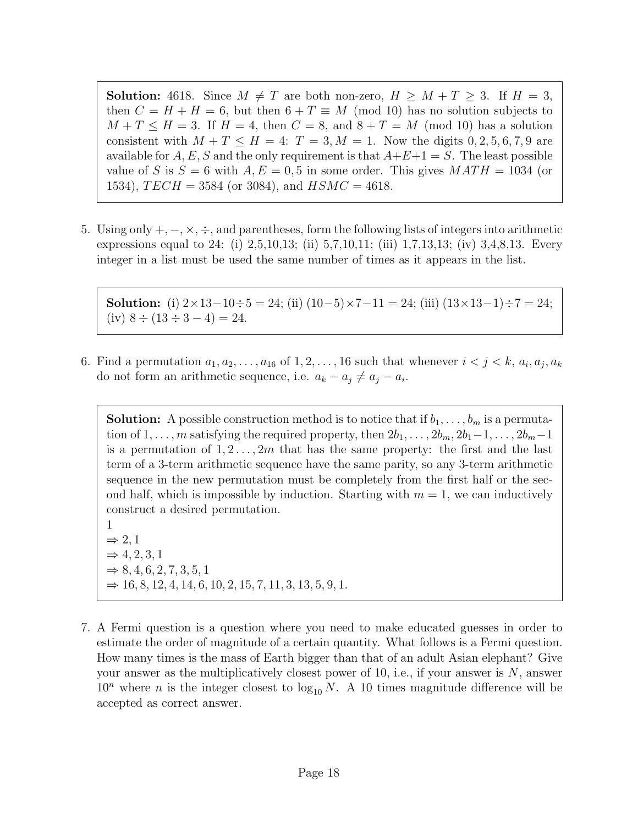**Solution:** 4618. Since  $M \neq T$  are both non-zero,  $H \geq M + T \geq 3$ . If  $H = 3$ , then  $C = H + H = 6$ , but then  $6 + T \equiv M \pmod{10}$  has no solution subjects to  $M + T \leq H = 3$ . If  $H = 4$ , then  $C = 8$ , and  $8 + T = M \pmod{10}$  has a solution consistent with  $M + T \leq H = 4$ :  $T = 3, M = 1$ . Now the digits 0, 2, 5, 6, 7, 9 are available for A, E, S and the only requirement is that  $A+E+1 = S$ . The least possible value of S is  $S = 6$  with  $A, E = 0, 5$  in some order. This gives  $MATH = 1034$  (or 1534),  $TECH = 3584$  (or 3084), and  $HSMC = 4618$ .

5. Using only  $+$ ,  $-$ ,  $\times$ ,  $\div$ , and parentheses, form the following lists of integers into arithmetic expressions equal to 24: (i) 2,5,10,13; (ii) 5,7,10,11; (iii) 1,7,13,13; (iv) 3,4,8,13. Every integer in a list must be used the same number of times as it appears in the list.

Solution: (i)  $2 \times 13 - 10 \div 5 = 24$ ; (ii)  $(10-5) \times 7 - 11 = 24$ ; (iii)  $(13 \times 13 - 1) \div 7 = 24$ ; (iv)  $8 \div (13 \div 3 - 4) = 24$ .

6. Find a permutation  $a_1, a_2, \ldots, a_{16}$  of  $1, 2, \ldots, 16$  such that whenever  $i < j < k$ ,  $a_i, a_j, a_k$ do not form an arithmetic sequence, i.e.  $a_k - a_j \neq a_j - a_i$ .

**Solution:** A possible construction method is to notice that if  $b_1, \ldots, b_m$  is a permutation of 1, ..., m satisfying the required property, then  $2b_1, \ldots, 2b_m, 2b_1-1, \ldots, 2b_m-1$ is a permutation of  $1, 2, \ldots, 2m$  that has the same property: the first and the last term of a 3-term arithmetic sequence have the same parity, so any 3-term arithmetic sequence in the new permutation must be completely from the first half or the second half, which is impossible by induction. Starting with  $m = 1$ , we can inductively construct a desired permutation.

1  $\Rightarrow$  2, 1  $\Rightarrow$  4, 2, 3, 1  $\Rightarrow$  8, 4, 6, 2, 7, 3, 5, 1  $\Rightarrow$  16, 8, 12, 4, 14, 6, 10, 2, 15, 7, 11, 3, 13, 5, 9, 1.

7. A Fermi question is a question where you need to make educated guesses in order to estimate the order of magnitude of a certain quantity. What follows is a Fermi question. How many times is the mass of Earth bigger than that of an adult Asian elephant? Give your answer as the multiplicatively closest power of 10, i.e., if your answer is  $N$ , answer  $10^n$  where *n* is the integer closest to  $\log_{10} N$ . A 10 times magnitude difference will be accepted as correct answer.